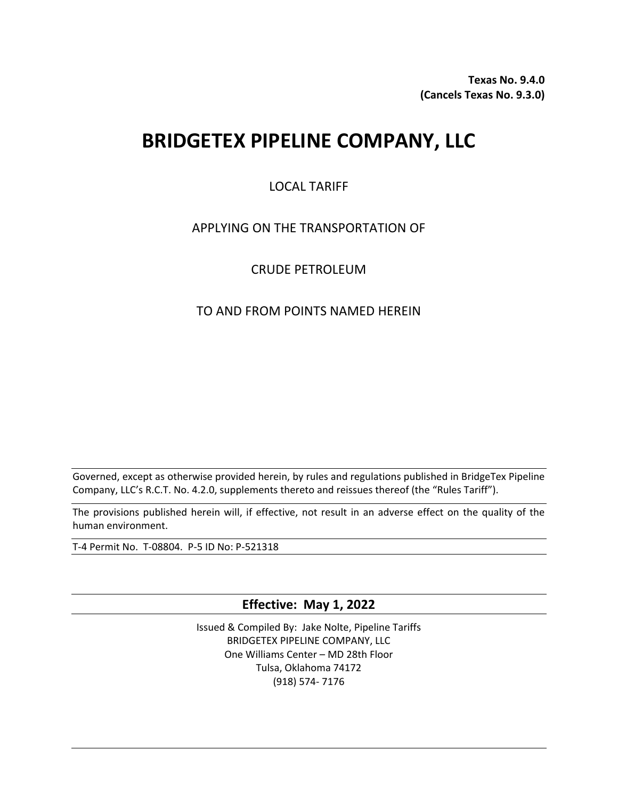**Texas No. 9.4.0 (Cancels Texas No. 9.3.0)**

# **BRIDGETEX PIPELINE COMPANY, LLC**

## LOCAL TARIFF

## APPLYING ON THE TRANSPORTATION OF

## CRUDE PETROLEUM

## TO AND FROM POINTS NAMED HEREIN

Governed, except as otherwise provided herein, by rules and regulations published in BridgeTex Pipeline Company, LLC's R.C.T. No. 4.2.0, supplements thereto and reissues thereof (the "Rules Tariff").

The provisions published herein will, if effective, not result in an adverse effect on the quality of the human environment.

T-4 Permit No. T-08804. P-5 ID No: P-521318

**Effective: May 1, 2022**

Issued & Compiled By: Jake Nolte, Pipeline Tariffs BRIDGETEX PIPELINE COMPANY, LLC One Williams Center – MD 28th Floor Tulsa, Oklahoma 74172 (918) 574- 7176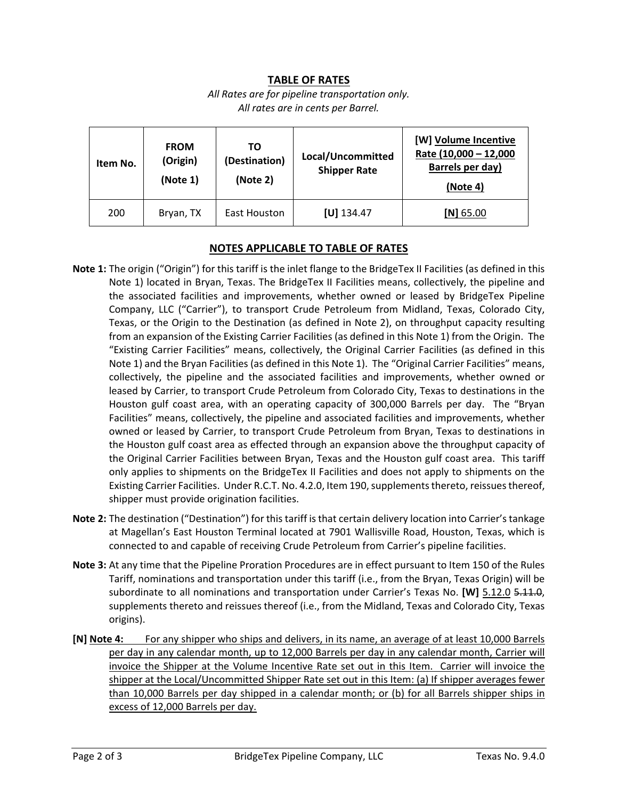#### **TABLE OF RATES**

#### *All Rates are for pipeline transportation only. All rates are in cents per Barrel.*

| Item No. | <b>FROM</b><br>(Origin)<br>(Note 1) | ТΟ<br>(Destination)<br>(Note 2) | Local/Uncommitted<br><b>Shipper Rate</b> | [W] Volume Incentive<br>Rate (10,000 - 12,000<br>Barrels per day)<br>(Note 4) |
|----------|-------------------------------------|---------------------------------|------------------------------------------|-------------------------------------------------------------------------------|
| 200      | Bryan, TX                           | East Houston                    | $[U]$ 134.47                             | $[N]$ 65.00                                                                   |

#### **NOTES APPLICABLE TO TABLE OF RATES**

- **Note 1:** The origin ("Origin") for this tariff is the inlet flange to the BridgeTex II Facilities (as defined in this Note 1) located in Bryan, Texas. The BridgeTex II Facilities means, collectively, the pipeline and the associated facilities and improvements, whether owned or leased by BridgeTex Pipeline Company, LLC ("Carrier"), to transport Crude Petroleum from Midland, Texas, Colorado City, Texas, or the Origin to the Destination (as defined in Note 2), on throughput capacity resulting from an expansion of the Existing Carrier Facilities (as defined in this Note 1) from the Origin. The "Existing Carrier Facilities" means, collectively, the Original Carrier Facilities (as defined in this Note 1) and the Bryan Facilities (as defined in this Note 1). The "Original Carrier Facilities" means, collectively, the pipeline and the associated facilities and improvements, whether owned or leased by Carrier, to transport Crude Petroleum from Colorado City, Texas to destinations in the Houston gulf coast area, with an operating capacity of 300,000 Barrels per day. The "Bryan Facilities" means, collectively, the pipeline and associated facilities and improvements, whether owned or leased by Carrier, to transport Crude Petroleum from Bryan, Texas to destinations in the Houston gulf coast area as effected through an expansion above the throughput capacity of the Original Carrier Facilities between Bryan, Texas and the Houston gulf coast area. This tariff only applies to shipments on the BridgeTex II Facilities and does not apply to shipments on the Existing Carrier Facilities. Under R.C.T. No. 4.2.0, Item 190, supplements thereto, reissues thereof, shipper must provide origination facilities.
- **Note 2:** The destination ("Destination") for this tariff is that certain delivery location into Carrier's tankage at Magellan's East Houston Terminal located at 7901 Wallisville Road, Houston, Texas, which is connected to and capable of receiving Crude Petroleum from Carrier's pipeline facilities.
- **Note 3:** At any time that the Pipeline Proration Procedures are in effect pursuant to Item 150 of the Rules Tariff, nominations and transportation under this tariff (i.e., from the Bryan, Texas Origin) will be subordinate to all nominations and transportation under Carrier's Texas No. [W] 5.12.0 5.11.0, supplements thereto and reissues thereof (i.e., from the Midland, Texas and Colorado City, Texas origins).
- **[N] Note 4:** For any shipper who ships and delivers, in its name, an average of at least 10,000 Barrels per day in any calendar month, up to 12,000 Barrels per day in any calendar month, Carrier will invoice the Shipper at the Volume Incentive Rate set out in this Item. Carrier will invoice the shipper at the Local/Uncommitted Shipper Rate set out in this Item: (a) If shipper averages fewer than 10,000 Barrels per day shipped in a calendar month; or (b) for all Barrels shipper ships in excess of 12,000 Barrels per day.